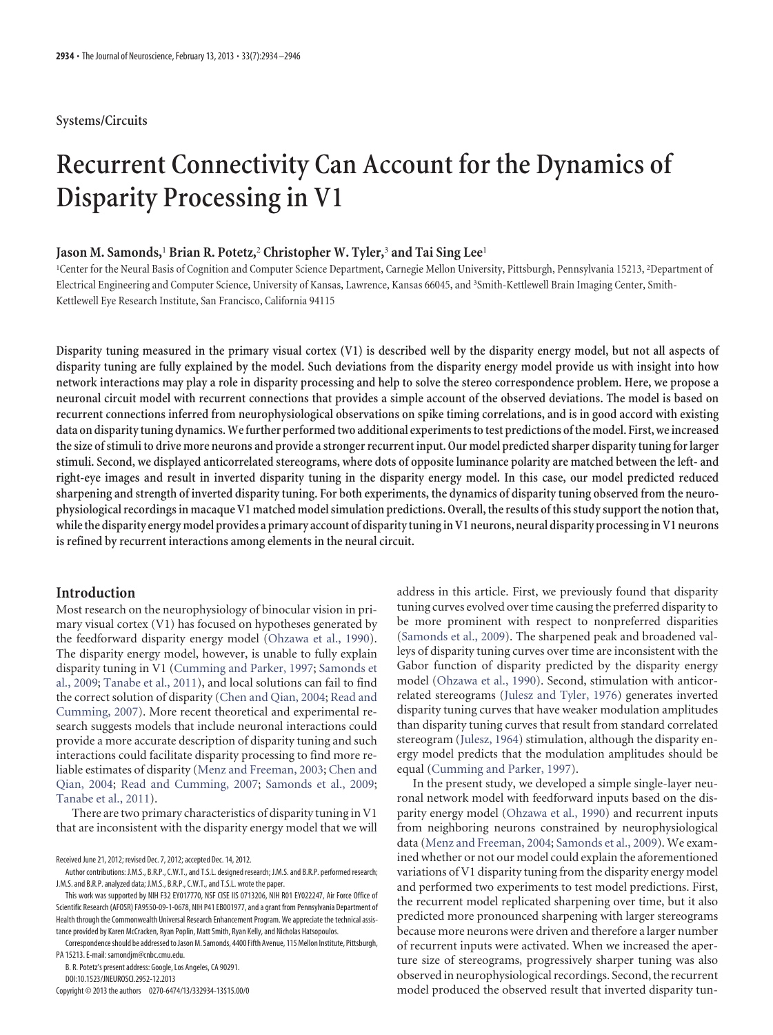# **Systems/Circuits**

# **Recurrent Connectivity Can Account for the Dynamics of Disparity Processing in V1**

## **Jason M. Samonds,**<sup>1</sup> **Brian R. Potetz,**<sup>2</sup> **Christopher W. Tyler,**<sup>3</sup> **and Tai Sing Lee**<sup>1</sup>

<sup>1</sup>Center for the Neural Basis of Cognition and Computer Science Department, Carnegie Mellon University, Pittsburgh, Pennsylvania 15213, <sup>2</sup>Department of Electrical Engineering and Computer Science, University of Kansas, Lawrence, Kansas 66045, and <sup>3</sup>Smith-Kettlewell Brain Imaging Center, Smith-Kettlewell Eye Research Institute, San Francisco, California 94115

**Disparity tuning measured in the primary visual cortex (V1) is described well by the disparity energy model, but not all aspects of disparity tuning are fully explained by the model. Such deviations from the disparity energy model provide us with insight into how network interactions may play a role in disparity processing and help to solve the stereo correspondence problem. Here, we propose a neuronal circuit model with recurrent connections that provides a simple account of the observed deviations. The model is based on recurrent connections inferred from neurophysiological observations on spike timing correlations, and is in good accord with existing data on disparitytuning dynamics.Wefurther performedtwo additional experimentstotest predictions ofthe model. First, we increased the size of stimuli to drive more neurons and provide a stronger recurrent input. Our model predicted sharper disparity tuning for larger stimuli. Second, we displayed anticorrelated stereograms, where dots of opposite luminance polarity are matched between the left- and right-eye images and result in inverted disparity tuning in the disparity energy model. In this case, our model predicted reduced sharpening and strength of inverted disparity tuning. For both experiments, the dynamics of disparity tuning observed from the neurophysiological recordings in macaque V1 matched model simulation predictions. Overall, the results of this study support the notion that, whilethe disparity energy model provides a primary account of disparitytuning in V1 neurons, neural disparity processing in V1 neurons is refined by recurrent interactions among elements in the neural circuit.**

# **Introduction**

Most research on the neurophysiology of binocular vision in primary visual cortex (V1) has focused on hypotheses generated by the feedforward disparity energy model [\(Ohzawa et al., 1990\)](#page-12-0). The disparity energy model, however, is unable to fully explain disparity tuning in V1 [\(Cumming and Parker, 1997;](#page-12-1) [Samonds et](#page-12-2) [al., 2009;](#page-12-2) [Tanabe et al., 2011\)](#page-12-3), and local solutions can fail to find the correct solution of disparity [\(Chen and Qian, 2004;](#page-12-4) [Read and](#page-12-5) [Cumming, 2007\)](#page-12-5). More recent theoretical and experimental research suggests models that include neuronal interactions could provide a more accurate description of disparity tuning and such interactions could facilitate disparity processing to find more reliable estimates of disparity [\(Menz and Freeman, 2003;](#page-12-6) [Chen and](#page-12-4) [Qian, 2004;](#page-12-4) [Read and Cumming, 2007;](#page-12-5) [Samonds et al., 2009;](#page-12-2) [Tanabe et al., 2011\)](#page-12-3).

There are two primary characteristics of disparity tuning in V1 that are inconsistent with the disparity energy model that we will

Received June 21, 2012; revised Dec. 7, 2012; accepted Dec. 14, 2012.

B. R. Potetz's present address: Google, Los Angeles, CA 90291. DOI:10.1523/JNEUROSCI.2952-12.2013

Copyright © 2013 the authors 0270-6474/13/332934-13\$15.00/0

address in this article. First, we previously found that disparity tuning curves evolved over time causing the preferred disparity to be more prominent with respect to nonpreferred disparities [\(Samonds et al., 2009\)](#page-12-2). The sharpened peak and broadened valleys of disparity tuning curves over time are inconsistent with the Gabor function of disparity predicted by the disparity energy model [\(Ohzawa et al., 1990\)](#page-12-0). Second, stimulation with anticorrelated stereograms [\(Julesz and Tyler, 1976\)](#page-12-7) generates inverted disparity tuning curves that have weaker modulation amplitudes than disparity tuning curves that result from standard correlated stereogram [\(Julesz, 1964\)](#page-12-8) stimulation, although the disparity energy model predicts that the modulation amplitudes should be equal [\(Cumming and Parker, 1997\)](#page-12-1).

In the present study, we developed a simple single-layer neuronal network model with feedforward inputs based on the disparity energy model [\(Ohzawa et al., 1990\)](#page-12-0) and recurrent inputs from neighboring neurons constrained by neurophysiological data [\(Menz and Freeman, 2004;](#page-12-9) [Samonds et al., 2009\)](#page-12-2). We examined whether or not our model could explain the aforementioned variations of V1 disparity tuning from the disparity energy model and performed two experiments to test model predictions. First, the recurrent model replicated sharpening over time, but it also predicted more pronounced sharpening with larger stereograms because more neurons were driven and therefore a larger number of recurrent inputs were activated. When we increased the aperture size of stereograms, progressively sharper tuning was also observed in neurophysiological recordings. Second, the recurrent model produced the observed result that inverted disparity tun-

Author contributions: J.M.S., B.R.P., C.W.T., and T.S.L. designed research; J.M.S. and B.R.P. performed research; J.M.S. and B.R.P. analyzed data; J.M.S., B.R.P., C.W.T., and T.S.L. wrote the paper.

This work was supported by NIH F32 EY017770, NSF CISE IIS 0713206, NIH R01 EY022247, Air Force Office of Scientific Research (AFOSR) FA9550-09-1-0678, NIH P41 EB001977, and a grant from Pennsylvania Department of Health through the Commonwealth Universal Research Enhancement Program. We appreciate the technical assistance provided by Karen McCracken, Ryan Poplin, Matt Smith, Ryan Kelly, and Nicholas Hatsopoulos.

Correspondenceshould be addressed toJason M. Samonds, 4400 Fifth Avenue, 115 Mellon Institute, Pittsburgh, PA 15213. E-mail: samondjm@cnbc.cmu.edu.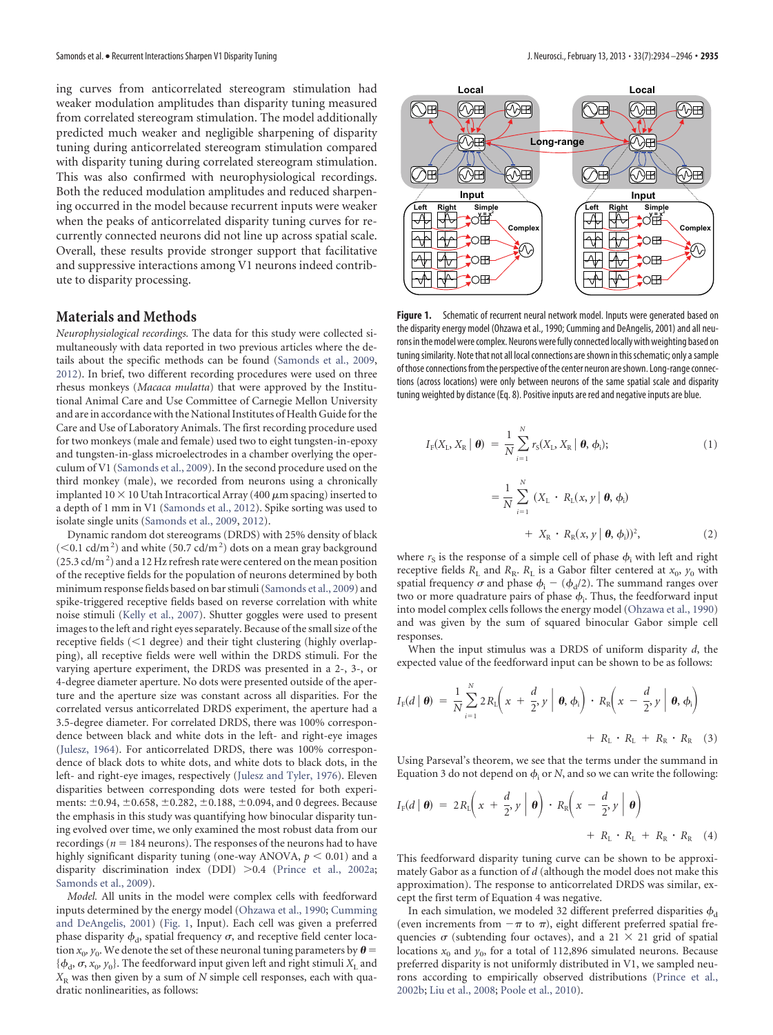ing curves from anticorrelated stereogram stimulation had weaker modulation amplitudes than disparity tuning measured from correlated stereogram stimulation. The model additionally predicted much weaker and negligible sharpening of disparity tuning during anticorrelated stereogram stimulation compared with disparity tuning during correlated stereogram stimulation. This was also confirmed with neurophysiological recordings. Both the reduced modulation amplitudes and reduced sharpening occurred in the model because recurrent inputs were weaker when the peaks of anticorrelated disparity tuning curves for recurrently connected neurons did not line up across spatial scale. Overall, these results provide stronger support that facilitative and suppressive interactions among V1 neurons indeed contribute to disparity processing.

# **Materials and Methods**

*Neurophysiological recordings.* The data for this study were collected simultaneously with data reported in two previous articles where the details about the specific methods can be found [\(Samonds et al., 2009,](#page-12-2) [2012\)](#page-12-10). In brief, two different recording procedures were used on three rhesus monkeys (*Macaca mulatta*) that were approved by the Institutional Animal Care and Use Committee of Carnegie Mellon University and are in accordance with the National Institutes of Health Guide for the Care and Use of Laboratory Animals. The first recording procedure used for two monkeys (male and female) used two to eight tungsten-in-epoxy and tungsten-in-glass microelectrodes in a chamber overlying the operculum of V1 [\(Samonds et al., 2009\)](#page-12-2). In the second procedure used on the third monkey (male), we recorded from neurons using a chronically implanted 10  $\times$  10 Utah Intracortical Array (400  $\mu$ m spacing) inserted to a depth of 1 mm in V1 [\(Samonds et al., 2012\)](#page-12-10). Spike sorting was used to isolate single units [\(Samonds et al., 2009,](#page-12-2) [2012\)](#page-12-10).

Dynamic random dot stereograms (DRDS) with 25% density of black  $(<$  0.1 cd/m<sup>2</sup>) and white (50.7 cd/m<sup>2</sup>) dots on a mean gray background  $(25.3 \text{ cd/m}^2)$  and a 12 Hz refresh rate were centered on the mean position of the receptive fields for the population of neurons determined by both minimum response fields based on bar stimuli [\(Samonds et al., 2009\)](#page-12-2) and spike-triggered receptive fields based on reverse correlation with white noise stimuli [\(Kelly et al., 2007\)](#page-12-11). Shutter goggles were used to present images to the left and right eyes separately. Because of the small size of the receptive fields (<1 degree) and their tight clustering (highly overlapping), all receptive fields were well within the DRDS stimuli. For the varying aperture experiment, the DRDS was presented in a 2-, 3-, or 4-degree diameter aperture. No dots were presented outside of the aperture and the aperture size was constant across all disparities. For the correlated versus anticorrelated DRDS experiment, the aperture had a 3.5-degree diameter. For correlated DRDS, there was 100% correspondence between black and white dots in the left- and right-eye images [\(Julesz, 1964\)](#page-12-8). For anticorrelated DRDS, there was 100% correspondence of black dots to white dots, and white dots to black dots, in the left- and right-eye images, respectively [\(Julesz and Tyler, 1976\)](#page-12-7). Eleven disparities between corresponding dots were tested for both experiments:  $\pm 0.94$ ,  $\pm 0.658$ ,  $\pm 0.282$ ,  $\pm 0.188$ ,  $\pm 0.094$ , and 0 degrees. Because the emphasis in this study was quantifying how binocular disparity tuning evolved over time, we only examined the most robust data from our recordings ( $n = 184$  neurons). The responses of the neurons had to have highly significant disparity tuning (one-way ANOVA,  $p < 0.01$ ) and a disparity discrimination index (DDI) >0.4 [\(Prince et al., 2002a;](#page-12-12) [Samonds et al., 2009\)](#page-12-2).

*Model.* All units in the model were complex cells with feedforward inputs determined by the energy model [\(Ohzawa et al., 1990;](#page-12-0) [Cumming](#page-12-13) [and DeAngelis, 2001\)](#page-12-13) [\(Fig. 1,](#page-1-0) Input). Each cell was given a preferred phase disparity  $\phi_\mathrm{d}$ , spatial frequency  $\sigma$ , and receptive field center location  $x_0$ ,  $y_0$ . We denote the set of these neuronal tuning parameters by  $\theta =$  $\{\phi_{\rm d}, \sigma, x_{\rm o}, y_{\rm 0}\}$ . The feedforward input given left and right stimuli  $X_{\rm L}$  and  $X<sub>R</sub>$  was then given by a sum of *N* simple cell responses, each with quadratic nonlinearities, as follows:



<span id="page-1-0"></span>Figure 1. Schematic of recurrent neural network model. Inputs were generated based on the disparity energy model (Ohzawa et al., 1990; Cumming and DeAngelis, 2001) and all neurons in the model were complex. Neurons were fully connected locally with weighting based on tuning similarity. Note that not all local connections are shown in this schematic; only a sample of those connections from the perspective of the center neuron are shown. Long-range connections (across locations) were only between neurons of the same spatial scale and disparity tuning weighted by distance (Eq. 8). Positive inputs are red and negative inputs are blue.

$$
I_{\rm F}(X_{\rm L}, X_{\rm R} \mid \boldsymbol{\theta}) = \frac{1}{N} \sum_{i=1}^{N} r_{\rm S}(X_{\rm L}, X_{\rm R} \mid \boldsymbol{\theta}, \phi_{i});
$$
\n
$$
= \frac{1}{N} \sum_{i=1}^{N} (X_{\rm L} \cdot R_{\rm L}(x, y \mid \boldsymbol{\theta}, \phi_{i}) + X_{\rm R} \cdot R_{\rm R}(x, y \mid \boldsymbol{\theta}, \phi_{i}))^{2},
$$
\n(2)

where  $r_{\rm S}$  is the response of a simple cell of phase  $\phi_{\rm i}$  with left and right receptive fields  $R_L$  and  $R_R$ .  $R_L$  is a Gabor filter centered at  $x_0$ ,  $y_0$  with spatial frequency  $\sigma$  and phase  $\phi_i - (\phi_d/2)$ . The summand ranges over two or more quadrature pairs of phase  $\phi_{\text{i}}$ . Thus, the feedforward input into model complex cells follows the energy model [\(Ohzawa et al., 1990\)](#page-12-0) and was given by the sum of squared binocular Gabor simple cell responses.

When the input stimulus was a DRDS of uniform disparity *d*, the expected value of the feedforward input can be shown to be as follows:

$$
I_{F}(d | \boldsymbol{\theta}) = \frac{1}{N} \sum_{i=1}^{N} 2R_{L} \left(x + \frac{d}{2}, y \mid \boldsymbol{\theta}, \boldsymbol{\phi}_{i}\right) \cdot R_{R} \left(x - \frac{d}{2}, y \mid \boldsymbol{\theta}, \boldsymbol{\phi}_{i}\right) + R_{L} \cdot R_{L} + R_{R} \cdot R_{R} \quad (3)
$$

Using Parseval's theorem, we see that the terms under the summand in Equation 3 do not depend on  $\phi_i$  or *N*, and so we can write the following:

$$
I_{F}(d | \boldsymbol{\theta}) = 2R_{L}\left(x + \frac{d}{2}, y \mid \boldsymbol{\theta}\right) \cdot R_{R}\left(x - \frac{d}{2}, y \mid \boldsymbol{\theta}\right) + R_{L} \cdot R_{L} + R_{R} \cdot R_{R} \quad (4)
$$

This feedforward disparity tuning curve can be shown to be approximately Gabor as a function of *d* (although the model does not make this approximation). The response to anticorrelated DRDS was similar, except the first term of Equation 4 was negative.

In each simulation, we modeled 32 different preferred disparities  $\phi_\textnormal{d}$ (even increments from  $-\pi$  to  $\pi$ ), eight different preferred spatial frequencies  $\sigma$  (subtending four octaves), and a 21  $\times$  21 grid of spatial locations  $x_0$  and  $y_0$ , for a total of 112,896 simulated neurons. Because preferred disparity is not uniformly distributed in V1, we sampled neurons according to empirically observed distributions [\(Prince et al.,](#page-12-14) [2002b;](#page-12-14) [Liu et al., 2008;](#page-12-15) [Poole et al., 2010\)](#page-12-16).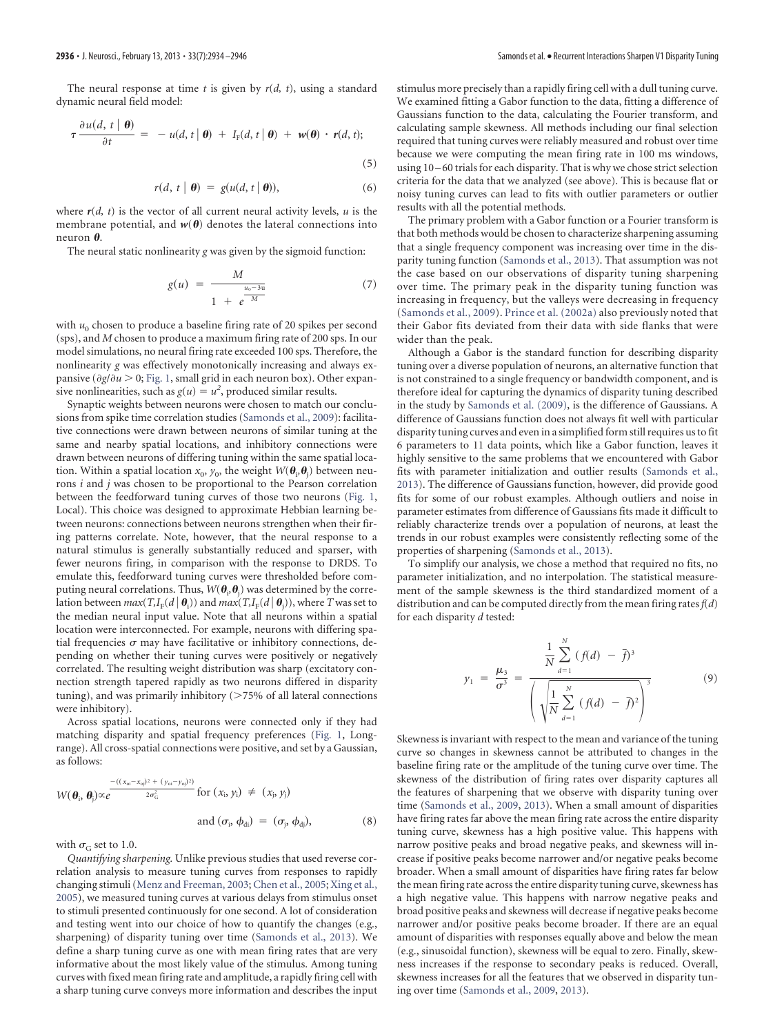The neural response at time *t* is given by *r*(*d, t*), using a standard dynamic neural field model:

$$
\tau \frac{\partial u(d, t | \theta)}{\partial t} = -u(d, t | \theta) + I_F(d, t | \theta) + w(\theta) \cdot r(d, t); \tag{5}
$$

$$
r(d, t | \boldsymbol{\theta}) = g(u(d, t | \boldsymbol{\theta})), \tag{6}
$$

where  $r(d, t)$  is the vector of all current neural activity levels,  $u$  is the membrane potential, and  $w(\theta)$  denotes the lateral connections into neuron  $\theta$ .

The neural static nonlinearity *g* was given by the sigmoid function:

$$
g(u) = \frac{M}{1 + e^{\frac{u_0 - 3u}{M}}}
$$
 (7)

with  $u_0$  chosen to produce a baseline firing rate of 20 spikes per second (sps), and *M* chosen to produce a maximum firing rate of 200 sps. In our model simulations, no neural firing rate exceeded 100 sps. Therefore, the nonlinearity *g* was effectively monotonically increasing and always expansive ( $\partial g / \partial u$  > 0; [Fig. 1,](#page-1-0) small grid in each neuron box). Other expansive nonlinearities, such as  $g(u) = u^2$ , produced similar results.

Synaptic weights between neurons were chosen to match our conclusions from spike time correlation studies [\(Samonds et al., 2009\)](#page-12-2): facilitative connections were drawn between neurons of similar tuning at the same and nearby spatial locations, and inhibitory connections were drawn between neurons of differing tuning within the same spatial location. Within a spatial location  $x_0, y_0$ , the weight  $W(\boldsymbol{\theta}_i, \boldsymbol{\theta}_j)$  between neurons *i* and *j* was chosen to be proportional to the Pearson correlation between the feedforward tuning curves of those two neurons [\(Fig. 1,](#page-1-0) Local). This choice was designed to approximate Hebbian learning between neurons: connections between neurons strengthen when their firing patterns correlate. Note, however, that the neural response to a natural stimulus is generally substantially reduced and sparser, with fewer neurons firing, in comparison with the response to DRDS. To emulate this, feedforward tuning curves were thresholded before computing neural correlations. Thus,  $W(\boldsymbol{\theta}_i, \boldsymbol{\theta}_j)$  was determined by the correlation between  $max(T, I_F(d \mid \boldsymbol{\theta}_i))$  and  $max(T, I_F(d \mid \boldsymbol{\theta}_j)),$  where  $T$  was set to the median neural input value. Note that all neurons within a spatial location were interconnected. For example, neurons with differing spatial frequencies  $\sigma$  may have facilitative or inhibitory connections, depending on whether their tuning curves were positively or negatively correlated. The resulting weight distribution was sharp (excitatory connection strength tapered rapidly as two neurons differed in disparity tuning), and was primarily inhibitory  $(>75\%$  of all lateral connections were inhibitory).

Across spatial locations, neurons were connected only if they had matching disparity and spatial frequency preferences [\(Fig. 1,](#page-1-0) Longrange). All cross-spatial connections were positive, and set by a Gaussian, as follows:

$$
W(\boldsymbol{\theta}_{i}, \boldsymbol{\theta}_{j}) \propto e^{\frac{-((x_{oi} - x_{oj})^{2} + (y_{oi} - y_{oj})^{2})}{2\sigma_{G}^{2}} \text{ for } (x_{i}, y_{i}) \neq (x_{j}, y_{j})}
$$
\nand  $(\sigma_{i}, \phi_{di}) = (\sigma_{j}, \phi_{dj}),$ \n(8)

with  $\sigma$ <sub>G</sub> set to 1.0.

*Quantifying sharpening.* Unlike previous studies that used reverse correlation analysis to measure tuning curves from responses to rapidly changing stimuli [\(Menz and Freeman, 2003;](#page-12-6) [Chen et al., 2005;](#page-11-0) [Xing et al.,](#page-12-17) [2005\)](#page-12-17), we measured tuning curves at various delays from stimulus onset to stimuli presented continuously for one second. A lot of consideration and testing went into our choice of how to quantify the changes (e.g., sharpening) of disparity tuning over time [\(Samonds et al., 2013\)](#page-12-18). We define a sharp tuning curve as one with mean firing rates that are very informative about the most likely value of the stimulus. Among tuning curves with fixed mean firing rate and amplitude, a rapidly firing cell with a sharp tuning curve conveys more information and describes the input stimulus more precisely than a rapidly firing cell with a dull tuning curve. We examined fitting a Gabor function to the data, fitting a difference of Gaussians function to the data, calculating the Fourier transform, and calculating sample skewness. All methods including our final selection required that tuning curves were reliably measured and robust over time because we were computing the mean firing rate in 100 ms windows, using 10 – 60 trials for each disparity. That is why we chose strict selection criteria for the data that we analyzed (see above). This is because flat or noisy tuning curves can lead to fits with outlier parameters or outlier results with all the potential methods.

The primary problem with a Gabor function or a Fourier transform is that both methods would be chosen to characterize sharpening assuming that a single frequency component was increasing over time in the disparity tuning function [\(Samonds et al., 2013\)](#page-12-18). That assumption was not the case based on our observations of disparity tuning sharpening over time. The primary peak in the disparity tuning function was increasing in frequency, but the valleys were decreasing in frequency [\(Samonds et al., 2009\)](#page-12-2). [Prince et al. \(2002a\)](#page-12-12) also previously noted that their Gabor fits deviated from their data with side flanks that were wider than the peak.

Although a Gabor is the standard function for describing disparity tuning over a diverse population of neurons, an alternative function that is not constrained to a single frequency or bandwidth component, and is therefore ideal for capturing the dynamics of disparity tuning described in the study by [Samonds et al. \(2009\),](#page-12-2) is the difference of Gaussians. A difference of Gaussians function does not always fit well with particular disparity tuning curves and even in a simplified form still requires us to fit 6 parameters to 11 data points, which like a Gabor function, leaves it highly sensitive to the same problems that we encountered with Gabor fits with parameter initialization and outlier results [\(Samonds et al.,](#page-12-18) [2013\)](#page-12-18). The difference of Gaussians function, however, did provide good fits for some of our robust examples. Although outliers and noise in parameter estimates from difference of Gaussians fits made it difficult to reliably characterize trends over a population of neurons, at least the trends in our robust examples were consistently reflecting some of the properties of sharpening [\(Samonds et al., 2013\)](#page-12-18).

To simplify our analysis, we chose a method that required no fits, no parameter initialization, and no interpolation. The statistical measurement of the sample skewness is the third standardized moment of a distribution and can be computed directly from the mean firing rates*f*(*d*) for each disparity *d* tested:

$$
y_1 = \frac{\mu_3}{\sigma^3} = \frac{\frac{1}{N} \sum_{d=1}^{N} (f(d) - \bar{f})^3}{\left(\sqrt{\frac{1}{N} \sum_{d=1}^{N} (f(d) - \bar{f})^2}\right)^3}
$$
(9)

Skewness is invariant with respect to the mean and variance of the tuning curve so changes in skewness cannot be attributed to changes in the baseline firing rate or the amplitude of the tuning curve over time. The skewness of the distribution of firing rates over disparity captures all the features of sharpening that we observe with disparity tuning over time [\(Samonds et al., 2009,](#page-12-2) [2013\)](#page-12-18). When a small amount of disparities have firing rates far above the mean firing rate across the entire disparity tuning curve, skewness has a high positive value. This happens with narrow positive peaks and broad negative peaks, and skewness will increase if positive peaks become narrower and/or negative peaks become broader. When a small amount of disparities have firing rates far below the mean firing rate across the entire disparity tuning curve, skewness has a high negative value. This happens with narrow negative peaks and broad positive peaks and skewness will decrease if negative peaks become narrower and/or positive peaks become broader. If there are an equal amount of disparities with responses equally above and below the mean (e.g., sinusoidal function), skewness will be equal to zero. Finally, skewness increases if the response to secondary peaks is reduced. Overall, skewness increases for all the features that we observed in disparity tuning over time [\(Samonds et al., 2009,](#page-12-2) [2013\)](#page-12-18).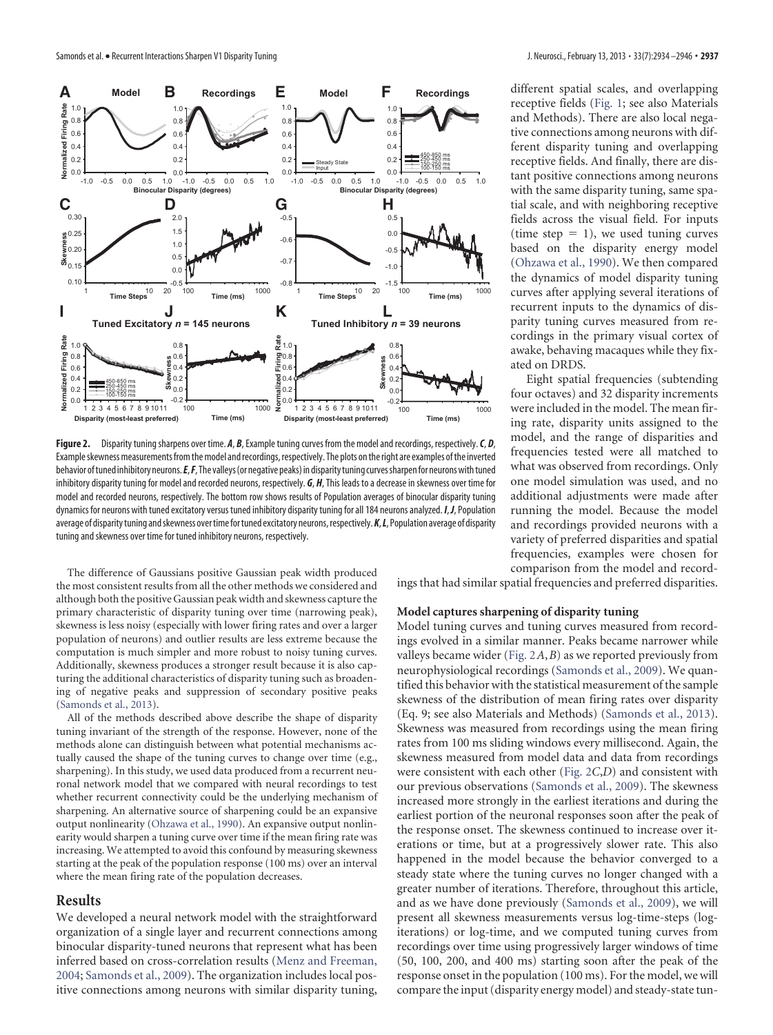

<span id="page-3-0"></span>**Figure 2.** Disparity tuning sharpens over time. *A*, *B*, Example tuning curves from the model and recordings, respectively.*C*, *D*, Exampleskewnessmeasurements fromthemodel andrecordings,respectively. The plots ontheright are examples ofthe inverted behavior oftuned inhibitory neurons.*E*,*F*, The valleys(or negative peaks) in disparitytuning curvessharpenfor neuronswithtuned inhibitory disparity tuning for model and recorded neurons, respectively. *G*, *H*, This leads to a decrease in skewness over time for model and recorded neurons, respectively. The bottom row shows results of Population averages of binocular disparity tuning dynamics for neurons with tuned excitatory versus tuned inhibitory disparity tuning for all 184 neurons analyzed. *I*, *J*, Population average of disparity tuning and skewness over time for tuned excitatory neurons, respectively. **K**, L, Population average of disparity tuning and skewness over time for tuned inhibitory neurons, respectively.

The difference of Gaussians positive Gaussian peak width produced the most consistent results from all the other methods we considered and although both the positive Gaussian peak width and skewness capture the primary characteristic of disparity tuning over time (narrowing peak), skewness is less noisy (especially with lower firing rates and over a larger population of neurons) and outlier results are less extreme because the computation is much simpler and more robust to noisy tuning curves. Additionally, skewness produces a stronger result because it is also capturing the additional characteristics of disparity tuning such as broadening of negative peaks and suppression of secondary positive peaks [\(Samonds et al., 2013\)](#page-12-18).

All of the methods described above describe the shape of disparity tuning invariant of the strength of the response. However, none of the methods alone can distinguish between what potential mechanisms actually caused the shape of the tuning curves to change over time (e.g., sharpening). In this study, we used data produced from a recurrent neuronal network model that we compared with neural recordings to test whether recurrent connectivity could be the underlying mechanism of sharpening. An alternative source of sharpening could be an expansive output nonlinearity [\(Ohzawa et al., 1990\)](#page-12-0). An expansive output nonlinearity would sharpen a tuning curve over time if the mean firing rate was increasing. We attempted to avoid this confound by measuring skewness starting at the peak of the population response (100 ms) over an interval where the mean firing rate of the population decreases.

## **Results**

We developed a neural network model with the straightforward organization of a single layer and recurrent connections among binocular disparity-tuned neurons that represent what has been inferred based on cross-correlation results [\(Menz and Freeman,](#page-12-9) [2004;](#page-12-9) [Samonds et al., 2009\)](#page-12-2). The organization includes local positive connections among neurons with similar disparity tuning, different spatial scales, and overlapping receptive fields [\(Fig. 1;](#page-1-0) see also Materials and Methods). There are also local negative connections among neurons with different disparity tuning and overlapping receptive fields. And finally, there are distant positive connections among neurons with the same disparity tuning, same spatial scale, and with neighboring receptive fields across the visual field. For inputs (time step  $= 1$ ), we used tuning curves based on the disparity energy model [\(Ohzawa et al., 1990\)](#page-12-0). We then compared the dynamics of model disparity tuning curves after applying several iterations of recurrent inputs to the dynamics of disparity tuning curves measured from recordings in the primary visual cortex of awake, behaving macaques while they fixated on DRDS.

Eight spatial frequencies (subtending four octaves) and 32 disparity increments were included in the model. The mean firing rate, disparity units assigned to the model, and the range of disparities and frequencies tested were all matched to what was observed from recordings. Only one model simulation was used, and no additional adjustments were made after running the model. Because the model and recordings provided neurons with a variety of preferred disparities and spatial frequencies, examples were chosen for comparison from the model and record-

ings that had similar spatial frequencies and preferred disparities.

# **Model captures sharpening of disparity tuning**

Model tuning curves and tuning curves measured from recordings evolved in a similar manner. Peaks became narrower while valleys became wider [\(Fig. 2](#page-3-0)*A*,*B*) as we reported previously from neurophysiological recordings [\(Samonds et al., 2009\)](#page-12-2). We quantified this behavior with the statistical measurement of the sample skewness of the distribution of mean firing rates over disparity (Eq. 9; see also Materials and Methods) [\(Samonds et al., 2013\)](#page-12-18). Skewness was measured from recordings using the mean firing rates from 100 ms sliding windows every millisecond. Again, the skewness measured from model data and data from recordings were consistent with each other [\(Fig. 2](#page-3-0)*C*,*D*) and consistent with our previous observations [\(Samonds et al., 2009\)](#page-12-2). The skewness increased more strongly in the earliest iterations and during the earliest portion of the neuronal responses soon after the peak of the response onset. The skewness continued to increase over iterations or time, but at a progressively slower rate. This also happened in the model because the behavior converged to a steady state where the tuning curves no longer changed with a greater number of iterations. Therefore, throughout this article, and as we have done previously [\(Samonds et al., 2009\)](#page-12-2), we will present all skewness measurements versus log-time-steps (logiterations) or log-time, and we computed tuning curves from recordings over time using progressively larger windows of time (50, 100, 200, and 400 ms) starting soon after the peak of the response onset in the population (100 ms). For the model, we will compare the input (disparity energy model) and steady-state tun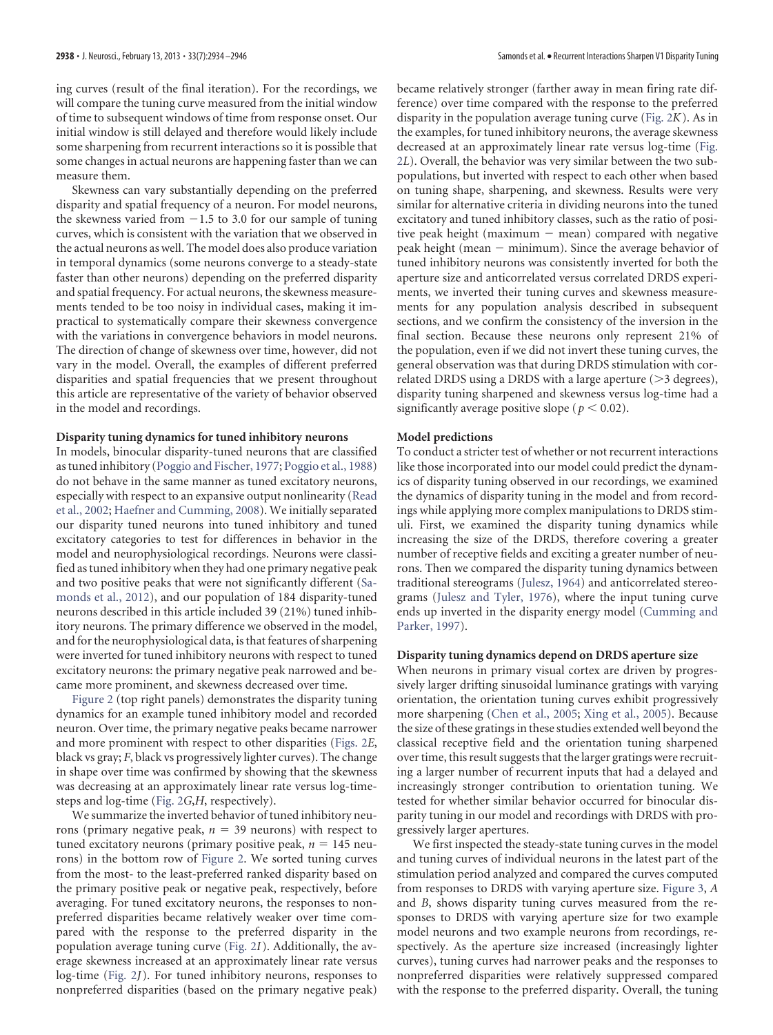ing curves (result of the final iteration). For the recordings, we will compare the tuning curve measured from the initial window of time to subsequent windows of time from response onset. Our initial window is still delayed and therefore would likely include some sharpening from recurrent interactions so it is possible that some changes in actual neurons are happening faster than we can measure them.

Skewness can vary substantially depending on the preferred disparity and spatial frequency of a neuron. For model neurons, the skewness varied from  $-1.5$  to 3.0 for our sample of tuning curves, which is consistent with the variation that we observed in the actual neurons as well. The model does also produce variation in temporal dynamics (some neurons converge to a steady-state faster than other neurons) depending on the preferred disparity and spatial frequency. For actual neurons, the skewness measurements tended to be too noisy in individual cases, making it impractical to systematically compare their skewness convergence with the variations in convergence behaviors in model neurons. The direction of change of skewness over time, however, did not vary in the model. Overall, the examples of different preferred disparities and spatial frequencies that we present throughout this article are representative of the variety of behavior observed in the model and recordings.

#### **Disparity tuning dynamics for tuned inhibitory neurons**

In models, binocular disparity-tuned neurons that are classified as tuned inhibitory [\(Poggio and Fischer, 1977;](#page-12-19) [Poggio et al., 1988\)](#page-12-20) do not behave in the same manner as tuned excitatory neurons, especially with respect to an expansive output nonlinearity [\(Read](#page-12-21) [et al., 2002;](#page-12-21) [Haefner and Cumming, 2008\)](#page-12-22). We initially separated our disparity tuned neurons into tuned inhibitory and tuned excitatory categories to test for differences in behavior in the model and neurophysiological recordings. Neurons were classified as tuned inhibitory when they had one primary negative peak and two positive peaks that were not significantly different [\(Sa](#page-12-10)[monds et al., 2012\)](#page-12-10), and our population of 184 disparity-tuned neurons described in this article included 39 (21%) tuned inhibitory neurons. The primary difference we observed in the model, and for the neurophysiological data, is that features of sharpening were inverted for tuned inhibitory neurons with respect to tuned excitatory neurons: the primary negative peak narrowed and became more prominent, and skewness decreased over time.

[Figure 2](#page-3-0) (top right panels) demonstrates the disparity tuning dynamics for an example tuned inhibitory model and recorded neuron. Over time, the primary negative peaks became narrower and more prominent with respect to other disparities [\(Figs. 2](#page-3-0)*E*, black vs gray; *F*, black vs progressively lighter curves). The change in shape over time was confirmed by showing that the skewness was decreasing at an approximately linear rate versus log-timesteps and log-time [\(Fig. 2](#page-3-0)*G*,*H*, respectively).

We summarize the inverted behavior of tuned inhibitory neurons (primary negative peak,  $n = 39$  neurons) with respect to tuned excitatory neurons (primary positive peak,  $n = 145$  neurons) in the bottom row of [Figure 2.](#page-3-0) We sorted tuning curves from the most- to the least-preferred ranked disparity based on the primary positive peak or negative peak, respectively, before averaging. For tuned excitatory neurons, the responses to nonpreferred disparities became relatively weaker over time compared with the response to the preferred disparity in the population average tuning curve [\(Fig. 2](#page-3-0)*I*). Additionally, the average skewness increased at an approximately linear rate versus log-time [\(Fig. 2](#page-3-0)*J*). For tuned inhibitory neurons, responses to nonpreferred disparities (based on the primary negative peak)

became relatively stronger (farther away in mean firing rate difference) over time compared with the response to the preferred disparity in the population average tuning curve [\(Fig. 2](#page-3-0)*K*). As in the examples, for tuned inhibitory neurons, the average skewness decreased at an approximately linear rate versus log-time [\(Fig.](#page-3-0) [2](#page-3-0)*L*). Overall, the behavior was very similar between the two subpopulations, but inverted with respect to each other when based on tuning shape, sharpening, and skewness. Results were very similar for alternative criteria in dividing neurons into the tuned excitatory and tuned inhibitory classes, such as the ratio of positive peak height (maximum  $-$  mean) compared with negative peak height (mean  $-$  minimum). Since the average behavior of tuned inhibitory neurons was consistently inverted for both the aperture size and anticorrelated versus correlated DRDS experiments, we inverted their tuning curves and skewness measurements for any population analysis described in subsequent sections, and we confirm the consistency of the inversion in the final section. Because these neurons only represent 21% of the population, even if we did not invert these tuning curves, the general observation was that during DRDS stimulation with correlated DRDS using a DRDS with a large aperture  $(>3$  degrees), disparity tuning sharpened and skewness versus log-time had a significantly average positive slope ( $p < 0.02$ ).

#### **Model predictions**

To conduct a stricter test of whether or not recurrent interactions like those incorporated into our model could predict the dynamics of disparity tuning observed in our recordings, we examined the dynamics of disparity tuning in the model and from recordings while applying more complex manipulations to DRDS stimuli. First, we examined the disparity tuning dynamics while increasing the size of the DRDS, therefore covering a greater number of receptive fields and exciting a greater number of neurons. Then we compared the disparity tuning dynamics between traditional stereograms [\(Julesz, 1964\)](#page-12-8) and anticorrelated stereograms [\(Julesz and Tyler, 1976\)](#page-12-7), where the input tuning curve ends up inverted in the disparity energy model [\(Cumming and](#page-12-1) [Parker, 1997\)](#page-12-1).

# **Disparity tuning dynamics depend on DRDS aperture size**

When neurons in primary visual cortex are driven by progressively larger drifting sinusoidal luminance gratings with varying orientation, the orientation tuning curves exhibit progressively more sharpening [\(Chen et al., 2005;](#page-11-0) [Xing et al., 2005\)](#page-12-17). Because the size of these gratings in these studies extended well beyond the classical receptive field and the orientation tuning sharpened over time, this result suggests that the larger gratings were recruiting a larger number of recurrent inputs that had a delayed and increasingly stronger contribution to orientation tuning. We tested for whether similar behavior occurred for binocular disparity tuning in our model and recordings with DRDS with progressively larger apertures.

We first inspected the steady-state tuning curves in the model and tuning curves of individual neurons in the latest part of the stimulation period analyzed and compared the curves computed from responses to DRDS with varying aperture size. [Figure 3,](#page-5-0) *A* and *B*, shows disparity tuning curves measured from the responses to DRDS with varying aperture size for two example model neurons and two example neurons from recordings, respectively. As the aperture size increased (increasingly lighter curves), tuning curves had narrower peaks and the responses to nonpreferred disparities were relatively suppressed compared with the response to the preferred disparity. Overall, the tuning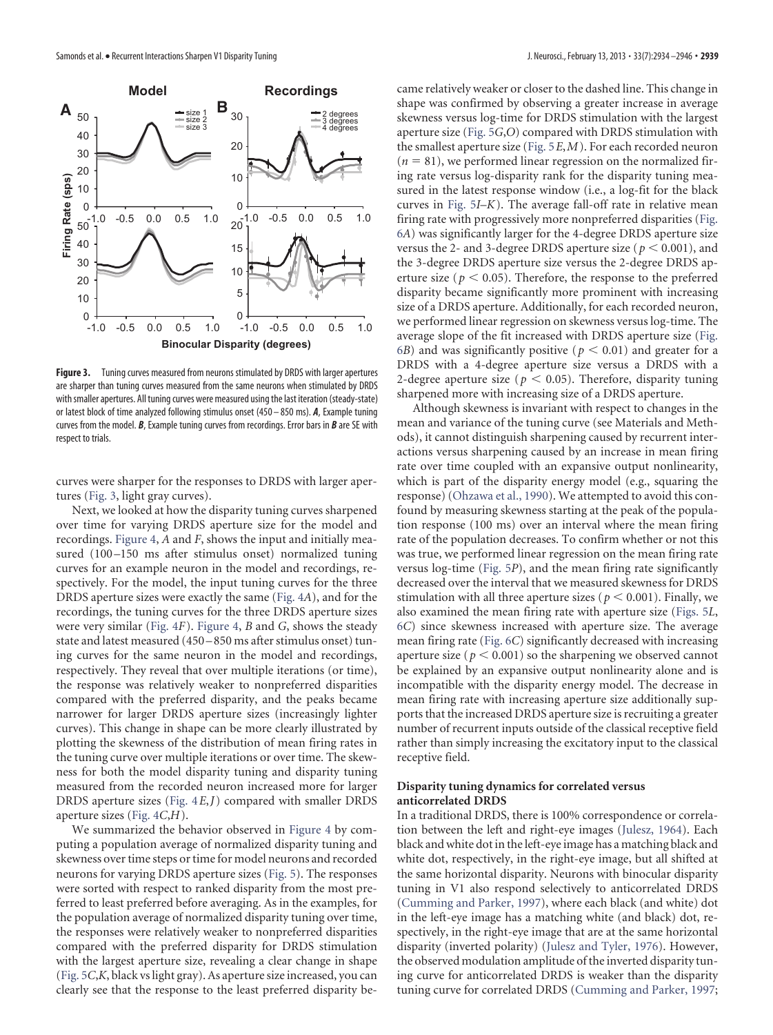

<span id="page-5-0"></span>**Figure 3.** Tuning curves measured from neurons stimulated by DRDS with larger apertures are sharper than tuning curves measured from the same neurons when stimulated by DRDS with smaller apertures. All tuning curves were measured using the last iteration (steady-state) or latest block of time analyzed following stimulus onset (450 – 850 ms). *A*, Example tuning curves from the model. *B*, Example tuning curves from recordings. Error bars in *B* are SE with respect to trials.

curves were sharper for the responses to DRDS with larger apertures [\(Fig. 3,](#page-5-0) light gray curves).

Next, we looked at how the disparity tuning curves sharpened over time for varying DRDS aperture size for the model and recordings. [Figure 4,](#page-6-0) *A* and *F*, shows the input and initially measured (100-150 ms after stimulus onset) normalized tuning curves for an example neuron in the model and recordings, respectively. For the model, the input tuning curves for the three DRDS aperture sizes were exactly the same [\(Fig. 4](#page-6-0)*A*), and for the recordings, the tuning curves for the three DRDS aperture sizes were very similar [\(Fig. 4](#page-6-0)*F*). [Figure 4,](#page-6-0) *B* and *G*, shows the steady state and latest measured (450 –850 ms after stimulus onset) tuning curves for the same neuron in the model and recordings, respectively. They reveal that over multiple iterations (or time), the response was relatively weaker to nonpreferred disparities compared with the preferred disparity, and the peaks became narrower for larger DRDS aperture sizes (increasingly lighter curves). This change in shape can be more clearly illustrated by plotting the skewness of the distribution of mean firing rates in the tuning curve over multiple iterations or over time. The skewness for both the model disparity tuning and disparity tuning measured from the recorded neuron increased more for larger DRDS aperture sizes [\(Fig. 4](#page-6-0)*E*,*J*) compared with smaller DRDS aperture sizes [\(Fig. 4](#page-6-0)*C*,*H*).

We summarized the behavior observed in [Figure 4](#page-6-0) by computing a population average of normalized disparity tuning and skewness over time steps or time for model neurons and recorded neurons for varying DRDS aperture sizes [\(Fig. 5\)](#page-6-1). The responses were sorted with respect to ranked disparity from the most preferred to least preferred before averaging. As in the examples, for the population average of normalized disparity tuning over time, the responses were relatively weaker to nonpreferred disparities compared with the preferred disparity for DRDS stimulation with the largest aperture size, revealing a clear change in shape [\(Fig. 5](#page-6-1)*C*,*K*, black vs light gray). As aperture size increased, you can clearly see that the response to the least preferred disparity became relatively weaker or closer to the dashed line. This change in shape was confirmed by observing a greater increase in average skewness versus log-time for DRDS stimulation with the largest aperture size [\(Fig. 5](#page-6-1)*G*,*O*) compared with DRDS stimulation with the smallest aperture size [\(Fig. 5](#page-6-1)*E*,*M*). For each recorded neuron  $(n = 81)$ , we performed linear regression on the normalized firing rate versus log-disparity rank for the disparity tuning measured in the latest response window (i.e., a log-fit for the black curves in [Fig. 5](#page-6-1)*I*–*K*). The average fall-off rate in relative mean firing rate with progressively more nonpreferred disparities [\(Fig.](#page-7-0) [6](#page-7-0)*A*) was significantly larger for the 4-degree DRDS aperture size versus the 2- and 3-degree DRDS aperture size  $(p < 0.001)$ , and the 3-degree DRDS aperture size versus the 2-degree DRDS aperture size ( $p < 0.05$ ). Therefore, the response to the preferred disparity became significantly more prominent with increasing size of a DRDS aperture. Additionally, for each recorded neuron, we performed linear regression on skewness versus log-time. The average slope of the fit increased with DRDS aperture size [\(Fig.](#page-7-0)  $(66)$  $(66)$  $(66)$  and was significantly positive ( $p < 0.01$ ) and greater for a DRDS with a 4-degree aperture size versus a DRDS with a 2-degree aperture size ( $p < 0.05$ ). Therefore, disparity tuning sharpened more with increasing size of a DRDS aperture.

Although skewness is invariant with respect to changes in the mean and variance of the tuning curve (see Materials and Methods), it cannot distinguish sharpening caused by recurrent interactions versus sharpening caused by an increase in mean firing rate over time coupled with an expansive output nonlinearity, which is part of the disparity energy model (e.g., squaring the response) [\(Ohzawa et al., 1990\)](#page-12-0). We attempted to avoid this confound by measuring skewness starting at the peak of the population response (100 ms) over an interval where the mean firing rate of the population decreases. To confirm whether or not this was true, we performed linear regression on the mean firing rate versus log-time [\(Fig. 5](#page-6-1)*P*), and the mean firing rate significantly decreased over the interval that we measured skewness for DRDS stimulation with all three aperture sizes ( $p < 0.001$ ). Finally, we also examined the mean firing rate with aperture size [\(Figs. 5](#page-6-1)*L*, [6](#page-7-0)*C*) since skewness increased with aperture size. The average mean firing rate [\(Fig. 6](#page-7-0)*C*) significantly decreased with increasing aperture size ( $p < 0.001$ ) so the sharpening we observed cannot be explained by an expansive output nonlinearity alone and is incompatible with the disparity energy model. The decrease in mean firing rate with increasing aperture size additionally supports that the increased DRDS aperture size is recruiting a greater number of recurrent inputs outside of the classical receptive field rather than simply increasing the excitatory input to the classical receptive field.

# **Disparity tuning dynamics for correlated versus anticorrelated DRDS**

In a traditional DRDS, there is 100% correspondence or correlation between the left and right-eye images [\(Julesz, 1964\)](#page-12-8). Each black and white dot in the left-eye image has a matching black and white dot, respectively, in the right-eye image, but all shifted at the same horizontal disparity. Neurons with binocular disparity tuning in V1 also respond selectively to anticorrelated DRDS [\(Cumming and Parker, 1997\)](#page-12-1), where each black (and white) dot in the left-eye image has a matching white (and black) dot, respectively, in the right-eye image that are at the same horizontal disparity (inverted polarity) [\(Julesz and Tyler, 1976\)](#page-12-7). However, the observed modulation amplitude of the inverted disparity tuning curve for anticorrelated DRDS is weaker than the disparity tuning curve for correlated DRDS [\(Cumming and Parker, 1997;](#page-12-1)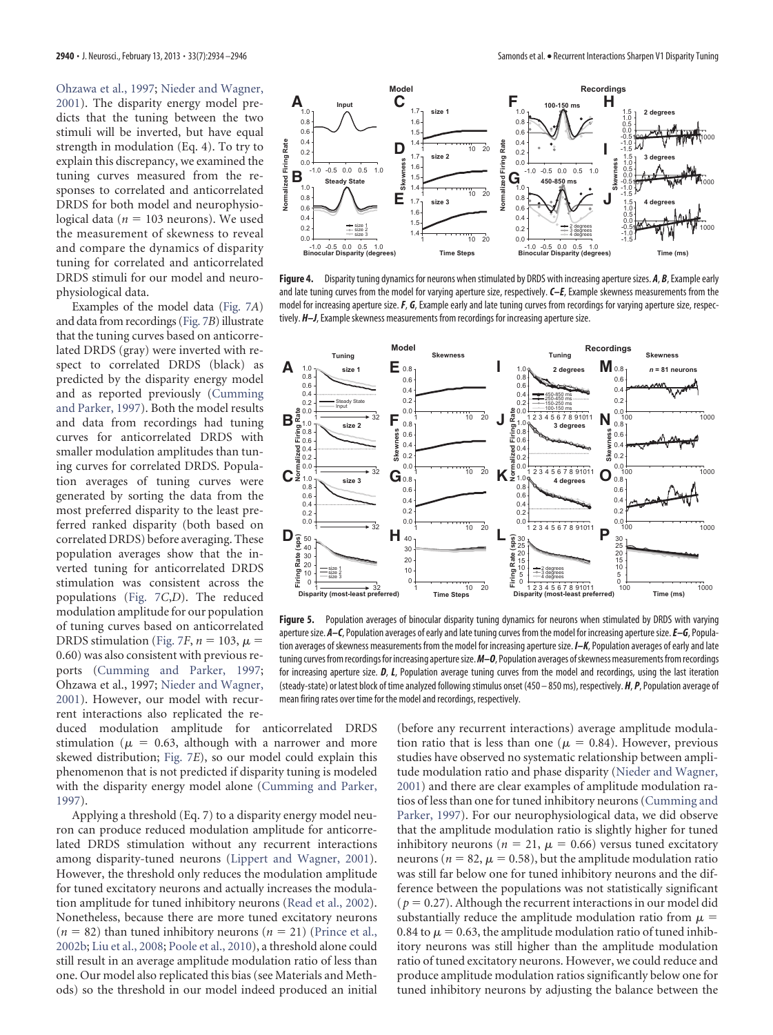[Ohzawa et al., 1997;](#page-12-23) [Nieder and Wagner,](#page-12-24) [2001\)](#page-12-24). The disparity energy model predicts that the tuning between the two stimuli will be inverted, but have equal strength in modulation (Eq. 4). To try to explain this discrepancy, we examined the tuning curves measured from the responses to correlated and anticorrelated DRDS for both model and neurophysiological data ( $n = 103$  neurons). We used the measurement of skewness to reveal and compare the dynamics of disparity tuning for correlated and anticorrelated DRDS stimuli for our model and neurophysiological data.

Examples of the model data [\(Fig. 7](#page-7-1)*A*) and data from recordings [\(Fig. 7](#page-7-1)*B*) illustrate that the tuning curves based on anticorrelated DRDS (gray) were inverted with respect to correlated DRDS (black) as predicted by the disparity energy model and as reported previously [\(Cumming](#page-12-1) [and Parker, 1997\)](#page-12-1). Both the model results and data from recordings had tuning curves for anticorrelated DRDS with smaller modulation amplitudes than tuning curves for correlated DRDS. Population averages of tuning curves were generated by sorting the data from the most preferred disparity to the least preferred ranked disparity (both based on correlated DRDS) before averaging. These population averages show that the inverted tuning for anticorrelated DRDS stimulation was consistent across the populations [\(Fig. 7](#page-7-1)*C*,*D*). The reduced modulation amplitude for our population of tuning curves based on anticorrelated DRDS stimulation [\(Fig. 7](#page-7-1)*F*,  $n = 103$ ,  $\mu =$ 0.60) was also consistent with previous reports [\(Cumming and Parker, 1997;](#page-12-1) Ohzawa et al., 1997; [Nieder and Wagner,](#page-12-24) [2001\)](#page-12-24). However, our model with recurrent interactions also replicated the re-

duced modulation amplitude for anticorrelated DRDS stimulation ( $\mu$  = 0.63, although with a narrower and more skewed distribution; [Fig. 7](#page-7-1)*E*), so our model could explain this phenomenon that is not predicted if disparity tuning is modeled with the disparity energy model alone [\(Cumming and Parker,](#page-12-1) [1997\)](#page-12-1).

Applying a threshold (Eq. 7) to a disparity energy model neuron can produce reduced modulation amplitude for anticorrelated DRDS stimulation without any recurrent interactions among disparity-tuned neurons [\(Lippert and Wagner, 2001\)](#page-12-25). However, the threshold only reduces the modulation amplitude for tuned excitatory neurons and actually increases the modulation amplitude for tuned inhibitory neurons [\(Read et al., 2002\)](#page-12-21). Nonetheless, because there are more tuned excitatory neurons  $(n = 82)$  than tuned inhibitory neurons  $(n = 21)$  [\(Prince et al.,](#page-12-14) [2002b;](#page-12-14) [Liu et al., 2008;](#page-12-15) [Poole et al., 2010\)](#page-12-16), a threshold alone could still result in an average amplitude modulation ratio of less than one. Our model also replicated this bias (see Materials and Methods) so the threshold in our model indeed produced an initial



<span id="page-6-0"></span>**Figure 4.** Disparity tuning dynamics for neurons when stimulated by DRDS with increasing aperture sizes. *A*, *B*, Example early and late tuning curves from the model for varying aperture size, respectively. *C–E*, Example skewness measurements from the model for increasing aperture size.*F*, *G*, Example early and late tuning curves from recordings for varying aperture size, respectively. *H–J*, Example skewness measurements from recordings for increasing aperture size.



<span id="page-6-1"></span>**Figure 5.** Population averages of binocular disparity tuning dynamics for neurons when stimulated by DRDS with varying aperture size.  $A-C$ , Population averages of early and late tuning curves from the model for increasing aperture size.  $E-G$ , Population averages of skewness measurements from the model for increasing aperture size. *I–K*, Population averages of early and late tuning curves fromrecordings for increasing aperturesize.*M–O*, Population averages ofskewnessmeasurements fromrecordings for increasing aperture size. *D*, *L*, Population average tuning curves from the model and recordings, using the last iteration (steady-state) or latest block of time analyzed following stimulus onset (450 – 850 ms), respectively. *H*, *P*, Population average of mean firing rates over time for the model and recordings, respectively.

(before any recurrent interactions) average amplitude modulation ratio that is less than one ( $\mu = 0.84$ ). However, previous studies have observed no systematic relationship between amplitude modulation ratio and phase disparity [\(Nieder and Wagner,](#page-12-24) [2001\)](#page-12-24) and there are clear examples of amplitude modulation ratios of less than one for tuned inhibitory neurons [\(Cumming and](#page-12-1) [Parker, 1997\)](#page-12-1). For our neurophysiological data, we did observe that the amplitude modulation ratio is slightly higher for tuned inhibitory neurons ( $n = 21$ ,  $\mu = 0.66$ ) versus tuned excitatory neurons ( $n = 82$ ,  $\mu = 0.58$ ), but the amplitude modulation ratio was still far below one for tuned inhibitory neurons and the difference between the populations was not statistically significant  $(p = 0.27)$ . Although the recurrent interactions in our model did substantially reduce the amplitude modulation ratio from  $\mu$  = 0.84 to  $\mu$  = 0.63, the amplitude modulation ratio of tuned inhibitory neurons was still higher than the amplitude modulation ratio of tuned excitatory neurons. However, we could reduce and produce amplitude modulation ratios significantly below one for tuned inhibitory neurons by adjusting the balance between the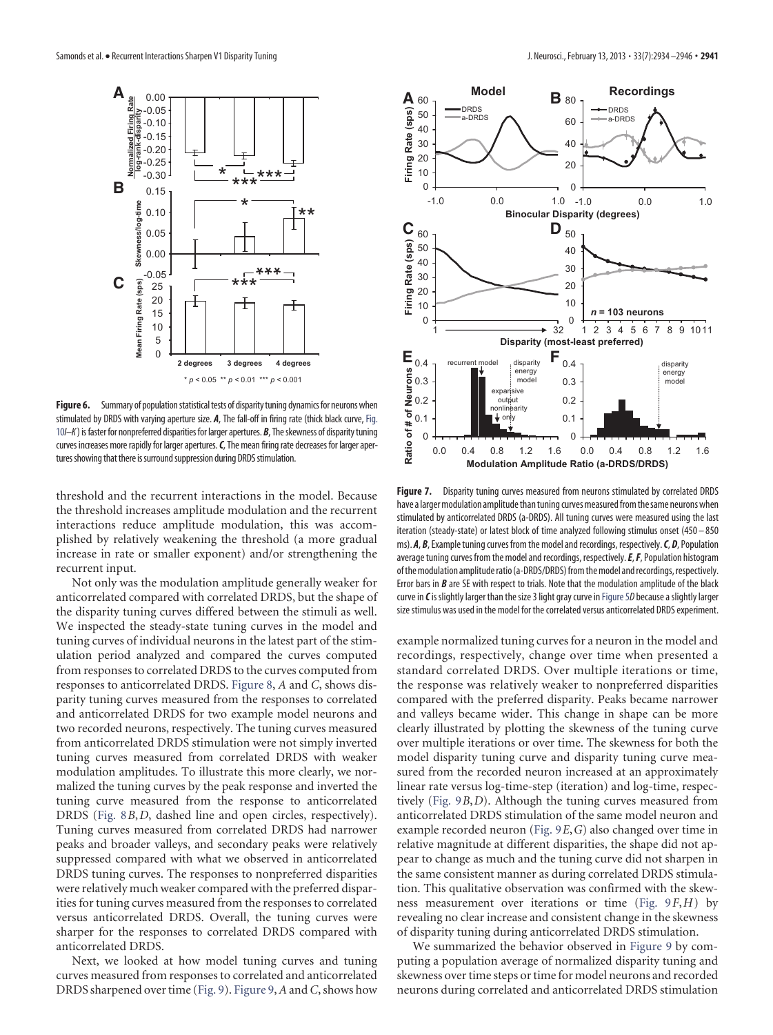

<span id="page-7-0"></span>Figure 6. Summary of population statistical tests of disparity tuning dynamics for neurons when stimulated by DRDS with varying aperture size. *A*, The fall-off in firing rate (thick black curve, [Fig.](#page-9-0) [10](#page-9-0)*I–K*) is faster for nonpreferred disparities for larger apertures. *B*, Theskewness of disparity tuning curves increases more rapidly for larger apertures.*C*, The mean firing rate decreases for larger apertures showing that there is surround suppression during DRDS stimulation.

threshold and the recurrent interactions in the model. Because the threshold increases amplitude modulation and the recurrent interactions reduce amplitude modulation, this was accomplished by relatively weakening the threshold (a more gradual increase in rate or smaller exponent) and/or strengthening the recurrent input.

Not only was the modulation amplitude generally weaker for anticorrelated compared with correlated DRDS, but the shape of the disparity tuning curves differed between the stimuli as well. We inspected the steady-state tuning curves in the model and tuning curves of individual neurons in the latest part of the stimulation period analyzed and compared the curves computed from responses to correlated DRDS to the curves computed from responses to anticorrelated DRDS. [Figure 8,](#page-8-0) *A* and *C*, shows disparity tuning curves measured from the responses to correlated and anticorrelated DRDS for two example model neurons and two recorded neurons, respectively. The tuning curves measured from anticorrelated DRDS stimulation were not simply inverted tuning curves measured from correlated DRDS with weaker modulation amplitudes. To illustrate this more clearly, we normalized the tuning curves by the peak response and inverted the tuning curve measured from the response to anticorrelated DRDS [\(Fig. 8](#page-8-0)*B*,*D*, dashed line and open circles, respectively). Tuning curves measured from correlated DRDS had narrower peaks and broader valleys, and secondary peaks were relatively suppressed compared with what we observed in anticorrelated DRDS tuning curves. The responses to nonpreferred disparities were relatively much weaker compared with the preferred disparities for tuning curves measured from the responses to correlated versus anticorrelated DRDS. Overall, the tuning curves were sharper for the responses to correlated DRDS compared with anticorrelated DRDS.

Next, we looked at how model tuning curves and tuning curves measured from responses to correlated and anticorrelated DRDS sharpened over time [\(Fig. 9\)](#page-8-1). [Figure 9,](#page-8-1) *A* and*C*, shows how



<span id="page-7-1"></span>Figure 7. Disparity tuning curves measured from neurons stimulated by correlated DRDS have a larger modulation amplitude than tuning curves measured from the same neurons when stimulated by anticorrelated DRDS (a-DRDS). All tuning curves were measured using the last iteration (steady-state) or latest block of time analyzed following stimulus onset (450 – 850 ms). *A*, *B*, Example tuning curves from the model and recordings, respectively.*C*, *D*, Population average tuning curves from the model and recordings, respectively.*E*,*F*, Population histogram of the modulation amplitude ratio (a-DRDS/DRDS) from the model and recordings, respectively. Error bars in *B* are SE with respect to trials. Note that the modulation amplitude of the black curve in *C*is slightly larger than the size 3 light gray curve in [Figure 5](#page-6-1)*D* because a slightly larger size stimulus was used in the model for the correlated versus anticorrelated DRDS experiment.

example normalized tuning curves for a neuron in the model and recordings, respectively, change over time when presented a standard correlated DRDS. Over multiple iterations or time, the response was relatively weaker to nonpreferred disparities compared with the preferred disparity. Peaks became narrower and valleys became wider. This change in shape can be more clearly illustrated by plotting the skewness of the tuning curve over multiple iterations or over time. The skewness for both the model disparity tuning curve and disparity tuning curve measured from the recorded neuron increased at an approximately linear rate versus log-time-step (iteration) and log-time, respectively [\(Fig. 9](#page-8-1)*B*,*D*). Although the tuning curves measured from anticorrelated DRDS stimulation of the same model neuron and example recorded neuron [\(Fig. 9](#page-8-1)*E*,*G*) also changed over time in relative magnitude at different disparities, the shape did not appear to change as much and the tuning curve did not sharpen in the same consistent manner as during correlated DRDS stimulation. This qualitative observation was confirmed with the skewness measurement over iterations or time [\(Fig. 9](#page-8-1)*F*,*H*) by revealing no clear increase and consistent change in the skewness of disparity tuning during anticorrelated DRDS stimulation.

We summarized the behavior observed in [Figure 9](#page-8-1) by computing a population average of normalized disparity tuning and skewness over time steps or time for model neurons and recorded neurons during correlated and anticorrelated DRDS stimulation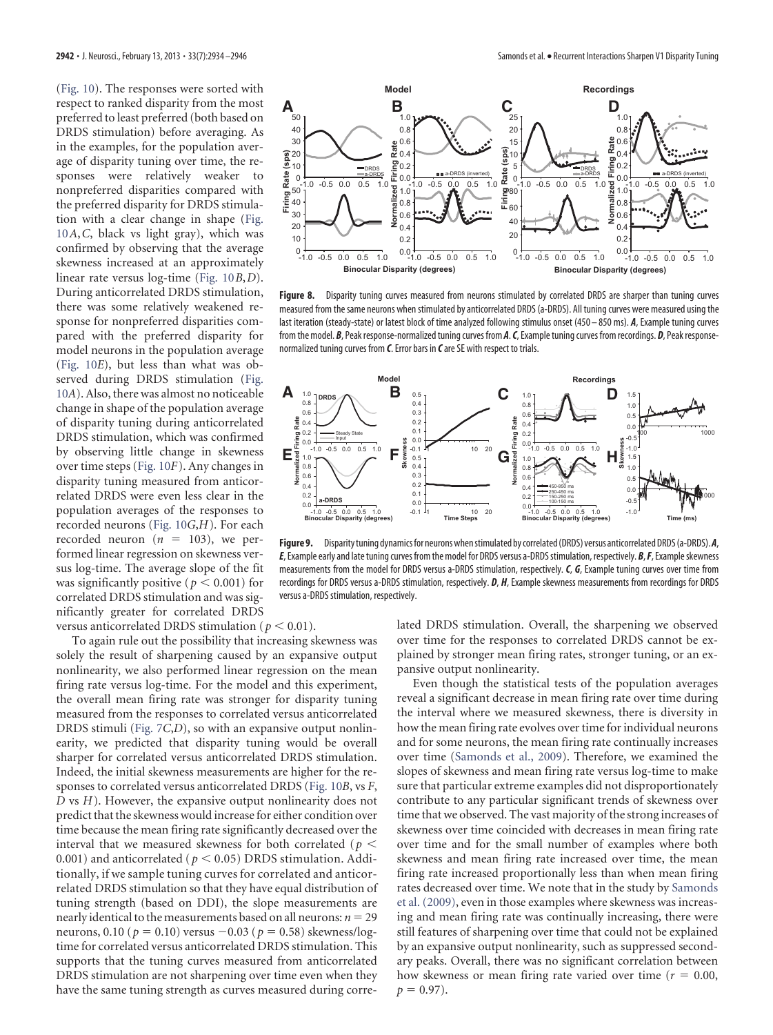[\(Fig. 10\)](#page-9-0). The responses were sorted with respect to ranked disparity from the most preferred to least preferred (both based on DRDS stimulation) before averaging. As in the examples, for the population average of disparity tuning over time, the responses were relatively weaker to nonpreferred disparities compared with the preferred disparity for DRDS stimulation with a clear change in shape [\(Fig.](#page-9-0) [10](#page-9-0)*A*,*C*, black vs light gray), which was confirmed by observing that the average skewness increased at an approximately linear rate versus log-time [\(Fig. 10](#page-9-0)*B*,*D*). During anticorrelated DRDS stimulation, there was some relatively weakened response for nonpreferred disparities compared with the preferred disparity for model neurons in the population average [\(Fig. 10](#page-9-0)*E*), but less than what was observed during DRDS stimulation [\(Fig.](#page-9-0) [10](#page-9-0)*A*). Also, there was almost no noticeable change in shape of the population average of disparity tuning during anticorrelated DRDS stimulation, which was confirmed by observing little change in skewness over time steps [\(Fig. 10](#page-9-0)*F*). Any changes in disparity tuning measured from anticorrelated DRDS were even less clear in the population averages of the responses to recorded neurons [\(Fig. 10](#page-9-0)*G*,*H*). For each recorded neuron  $(n = 103)$ , we performed linear regression on skewness versus log-time. The average slope of the fit was significantly positive ( $p < 0.001$ ) for correlated DRDS stimulation and was significantly greater for correlated DRDS



<span id="page-8-0"></span>**Figure 8.** Disparity tuning curves measured from neurons stimulated by correlated DRDS are sharper than tuning curves measured from the same neurons when stimulated by anticorrelated DRDS (a-DRDS). All tuning curves were measured using the last iteration (steady-state) or latest block of time analyzed following stimulus onset (450 – 850 ms). *A*, Example tuning curves from the model. *B*, Peak response-normalized tuning curves from*A*.*C*, Example tuning curves from recordings. *D*, Peak responsenormalized tuning curves from *C*. Error bars in *C*are SE with respect to trials.



<span id="page-8-1"></span>Figure 9. Disparity tuning dynamics for neurons when stimulated by correlated (DRDS) versus anticorrelated DRDS (a-DRDS). A, *E*, Example early and late tuning curves from the model for DRDS versus a-DRDS stimulation, respectively. *B*, *F*, Example skewness measurements from the model for DRDS versus a-DRDS stimulation, respectively. *C*, *G*, Example tuning curves over time from recordings for DRDS versus a-DRDS stimulation, respectively. *D*, *H*, Example skewness measurements from recordings for DRDS versus a-DRDS stimulation, respectively.

versus anticorrelated DRDS stimulation ( $p < 0.01$ ).

To again rule out the possibility that increasing skewness was solely the result of sharpening caused by an expansive output nonlinearity, we also performed linear regression on the mean firing rate versus log-time. For the model and this experiment, the overall mean firing rate was stronger for disparity tuning measured from the responses to correlated versus anticorrelated DRDS stimuli [\(Fig. 7](#page-7-1)*C*,*D*), so with an expansive output nonlinearity, we predicted that disparity tuning would be overall sharper for correlated versus anticorrelated DRDS stimulation. Indeed, the initial skewness measurements are higher for the responses to correlated versus anticorrelated DRDS [\(Fig. 10](#page-9-0)*B*, vs *F*, *D* vs *H*). However, the expansive output nonlinearity does not predict that the skewness would increase for either condition over time because the mean firing rate significantly decreased over the interval that we measured skewness for both correlated ( $p<$ 0.001) and anticorrelated ( $p <$  0.05) DRDS stimulation. Additionally, if we sample tuning curves for correlated and anticorrelated DRDS stimulation so that they have equal distribution of tuning strength (based on DDI), the slope measurements are nearly identical to the measurements based on all neurons:  $n = 29$ neurons, 0.10 ( $p = 0.10$ ) versus  $-0.03$  ( $p = 0.58$ ) skewness/logtime for correlated versus anticorrelated DRDS stimulation. This supports that the tuning curves measured from anticorrelated DRDS stimulation are not sharpening over time even when they have the same tuning strength as curves measured during correlated DRDS stimulation. Overall, the sharpening we observed over time for the responses to correlated DRDS cannot be explained by stronger mean firing rates, stronger tuning, or an expansive output nonlinearity.

**p** 0.4<br> **p** 0.2<br> **p** 0.2<br> **p** 0.2<br> **p** 0.2<br> **p** 0.2<br> **p** 0.2<br> **p** 0.8<br> **p** 0.8<br> **p** 0.8<br> **p** 0.8<br> **p** 0.8<br> **p** 0.8<br> **p** 0.8<br> **p** 0.8<br> **p** 0.8<br> **p** 0.8<br> **p** 0.8<br> **p** 0.4<br> **p** 0.8<br> **p** 0.4<br> **p** 0.8<br> **p** 0.4<br> **p** 0.8<br> **p** 0. Even though the statistical tests of the population averages reveal a significant decrease in mean firing rate over time during the interval where we measured skewness, there is diversity in how the mean firing rate evolves over time for individual neurons and for some neurons, the mean firing rate continually increases over time [\(Samonds et al., 2009\)](#page-12-2). Therefore, we examined the slopes of skewness and mean firing rate versus log-time to make sure that particular extreme examples did not disproportionately contribute to any particular significant trends of skewness over time that we observed. The vast majority of the strong increases of skewness over time coincided with decreases in mean firing rate over time and for the small number of examples where both skewness and mean firing rate increased over time, the mean firing rate increased proportionally less than when mean firing rates decreased over time. We note that in the study by [Samonds](#page-12-2) [et al. \(2009\),](#page-12-2) even in those examples where skewness was increasing and mean firing rate was continually increasing, there were still features of sharpening over time that could not be explained by an expansive output nonlinearity, such as suppressed secondary peaks. Overall, there was no significant correlation between how skewness or mean firing rate varied over time ( $r = 0.00$ ,  $p = 0.97$ .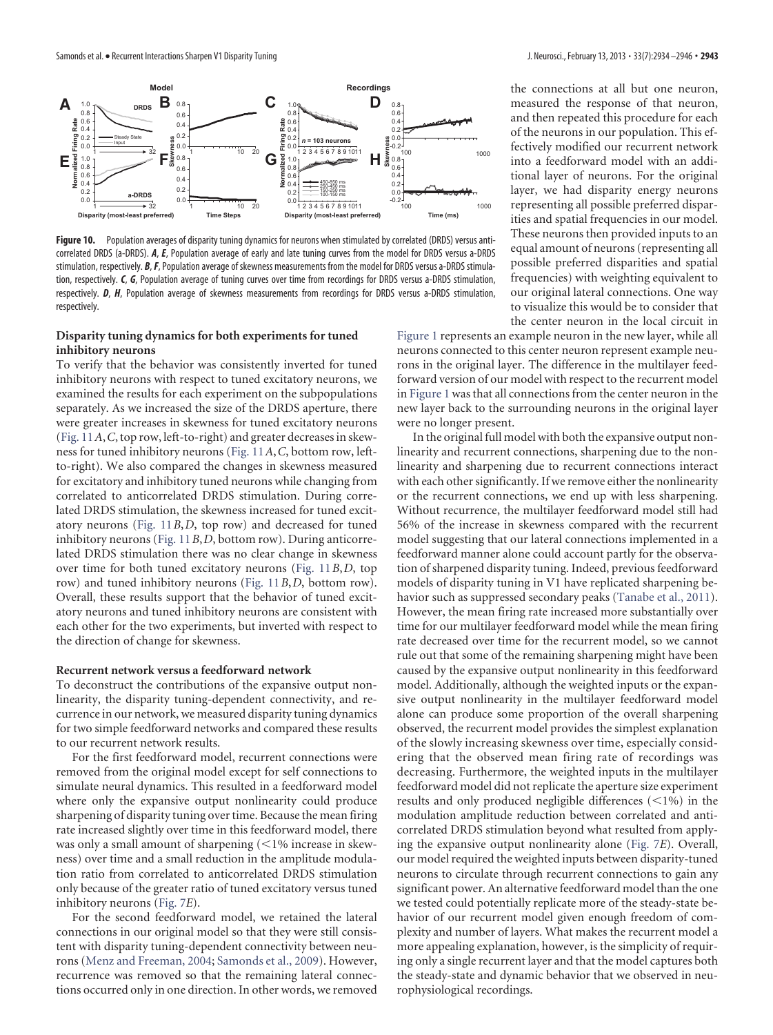

<span id="page-9-0"></span>**Figure 10.** Population averages of disparity tuning dynamics for neurons when stimulated by correlated (DRDS) versus anticorrelated DRDS (a-DRDS). *A*, *E*, Population average of early and late tuning curves from the model for DRDS versus a-DRDS stimulation, respectively. *B*,*F*, Population average of skewness measurements from the model for DRDS versus a-DRDS stimulation, respectively. *C*, *G*, Population average of tuning curves over time from recordings for DRDS versus a-DRDS stimulation, respectively. *D*, *H*, Population average of skewness measurements from recordings for DRDS versus a-DRDS stimulation, respectively.

## **Disparity tuning dynamics for both experiments for tuned inhibitory neurons**

To verify that the behavior was consistently inverted for tuned inhibitory neurons with respect to tuned excitatory neurons, we examined the results for each experiment on the subpopulations separately. As we increased the size of the DRDS aperture, there were greater increases in skewness for tuned excitatory neurons [\(Fig. 11](#page-10-0)*A*,*C*, top row, left-to-right) and greater decreases in skewness for tuned inhibitory neurons [\(Fig. 11](#page-10-0)*A*,*C*, bottom row, leftto-right). We also compared the changes in skewness measured for excitatory and inhibitory tuned neurons while changing from correlated to anticorrelated DRDS stimulation. During correlated DRDS stimulation, the skewness increased for tuned excitatory neurons [\(Fig. 11](#page-10-0)*B*,*D*, top row) and decreased for tuned inhibitory neurons [\(Fig. 11](#page-10-0)*B*,*D*, bottom row). During anticorrelated DRDS stimulation there was no clear change in skewness over time for both tuned excitatory neurons [\(Fig. 11](#page-10-0)*B*,*D*, top row) and tuned inhibitory neurons [\(Fig. 11](#page-10-0)*B*,*D*, bottom row). Overall, these results support that the behavior of tuned excitatory neurons and tuned inhibitory neurons are consistent with each other for the two experiments, but inverted with respect to the direction of change for skewness.

# **Recurrent network versus a feedforward network**

To deconstruct the contributions of the expansive output nonlinearity, the disparity tuning-dependent connectivity, and recurrence in our network, we measured disparity tuning dynamics for two simple feedforward networks and compared these results to our recurrent network results.

For the first feedforward model, recurrent connections were removed from the original model except for self connections to simulate neural dynamics. This resulted in a feedforward model where only the expansive output nonlinearity could produce sharpening of disparity tuning over time. Because the mean firing rate increased slightly over time in this feedforward model, there was only a small amount of sharpening  $(<$ 1% increase in skewness) over time and a small reduction in the amplitude modulation ratio from correlated to anticorrelated DRDS stimulation only because of the greater ratio of tuned excitatory versus tuned inhibitory neurons [\(Fig. 7](#page-7-1)*E*).

For the second feedforward model, we retained the lateral connections in our original model so that they were still consistent with disparity tuning-dependent connectivity between neurons [\(Menz and Freeman, 2004;](#page-12-9) [Samonds et al., 2009\)](#page-12-2). However, recurrence was removed so that the remaining lateral connections occurred only in one direction. In other words, we removed the connections at all but one neuron, measured the response of that neuron, and then repeated this procedure for each of the neurons in our population. This effectively modified our recurrent network into a feedforward model with an additional layer of neurons. For the original layer, we had disparity energy neurons representing all possible preferred disparities and spatial frequencies in our model. These neurons then provided inputs to an equal amount of neurons (representing all possible preferred disparities and spatial frequencies) with weighting equivalent to our original lateral connections. One way to visualize this would be to consider that the center neuron in the local circuit in

[Figure 1](#page-1-0) represents an example neuron in the new layer, while all neurons connected to this center neuron represent example neurons in the original layer. The difference in the multilayer feedforward version of our model with respect to the recurrent model in [Figure 1](#page-1-0) was that all connections from the center neuron in the new layer back to the surrounding neurons in the original layer were no longer present.

In the original full model with both the expansive output nonlinearity and recurrent connections, sharpening due to the nonlinearity and sharpening due to recurrent connections interact with each other significantly. If we remove either the nonlinearity or the recurrent connections, we end up with less sharpening. Without recurrence, the multilayer feedforward model still had 56% of the increase in skewness compared with the recurrent model suggesting that our lateral connections implemented in a feedforward manner alone could account partly for the observation of sharpened disparity tuning. Indeed, previous feedforward models of disparity tuning in V1 have replicated sharpening behavior such as suppressed secondary peaks [\(Tanabe et al., 2011\)](#page-12-3). However, the mean firing rate increased more substantially over time for our multilayer feedforward model while the mean firing rate decreased over time for the recurrent model, so we cannot rule out that some of the remaining sharpening might have been caused by the expansive output nonlinearity in this feedforward model. Additionally, although the weighted inputs or the expansive output nonlinearity in the multilayer feedforward model alone can produce some proportion of the overall sharpening observed, the recurrent model provides the simplest explanation of the slowly increasing skewness over time, especially considering that the observed mean firing rate of recordings was decreasing. Furthermore, the weighted inputs in the multilayer feedforward model did not replicate the aperture size experiment results and only produced negligible differences  $(<1%)$  in the modulation amplitude reduction between correlated and anticorrelated DRDS stimulation beyond what resulted from applying the expansive output nonlinearity alone [\(Fig. 7](#page-7-1)*E*). Overall, our model required the weighted inputs between disparity-tuned neurons to circulate through recurrent connections to gain any significant power. An alternative feedforward model than the one we tested could potentially replicate more of the steady-state behavior of our recurrent model given enough freedom of complexity and number of layers. What makes the recurrent model a more appealing explanation, however, is the simplicity of requiring only a single recurrent layer and that the model captures both the steady-state and dynamic behavior that we observed in neurophysiological recordings.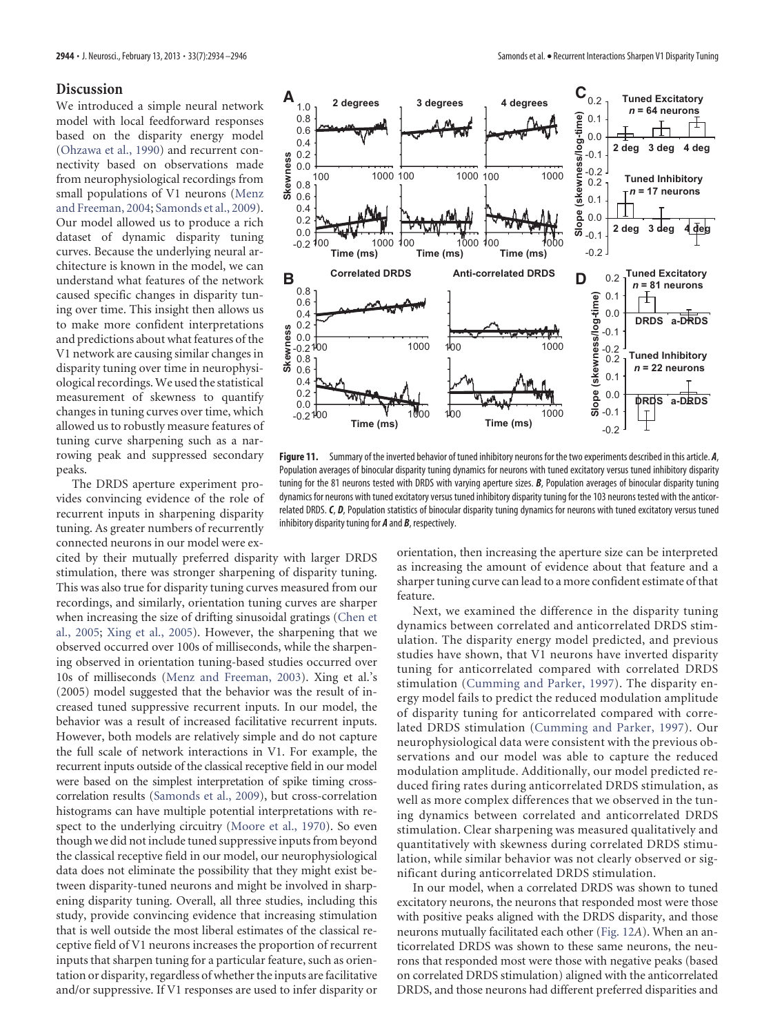## **Discussion**

We introduced a simple neural network model with local feedforward responses based on the disparity energy model [\(Ohzawa et al., 1990\)](#page-12-0) and recurrent connectivity based on observations made from neurophysiological recordings from small populations of V1 neurons [\(Menz](#page-12-9) [and Freeman, 2004;](#page-12-9) [Samonds et al., 2009\)](#page-12-2). Our model allowed us to produce a rich dataset of dynamic disparity tuning curves. Because the underlying neural architecture is known in the model, we can understand what features of the network caused specific changes in disparity tuning over time. This insight then allows us to make more confident interpretations and predictions about what features of the V1 network are causing similar changes in disparity tuning over time in neurophysiological recordings.We used the statistical measurement of skewness to quantify changes in tuning curves over time, which allowed us to robustly measure features of tuning curve sharpening such as a narrowing peak and suppressed secondary peaks.

0.2 0.4 0.6 0.8 1.0

**A**

The DRDS aperture experiment provides convincing evidence of the role of recurrent inputs in sharpening disparity tuning. As greater numbers of recurrently connected neurons in our model were ex-

cited by their mutually preferred disparity with larger DRDS stimulation, there was stronger sharpening of disparity tuning. This was also true for disparity tuning curves measured from our recordings, and similarly, orientation tuning curves are sharper when increasing the size of drifting sinusoidal gratings [\(Chen et](#page-11-0) [al., 2005;](#page-11-0) [Xing et al., 2005\)](#page-12-17). However, the sharpening that we observed occurred over 100s of milliseconds, while the sharpening observed in orientation tuning-based studies occurred over 10s of milliseconds [\(Menz and Freeman, 2003\)](#page-12-6). Xing et al.'s (2005) model suggested that the behavior was the result of increased tuned suppressive recurrent inputs. In our model, the behavior was a result of increased facilitative recurrent inputs. However, both models are relatively simple and do not capture the full scale of network interactions in V1. For example, the recurrent inputs outside of the classical receptive field in our model were based on the simplest interpretation of spike timing crosscorrelation results [\(Samonds et al., 2009\)](#page-12-2), but cross-correlation histograms can have multiple potential interpretations with respect to the underlying circuitry [\(Moore et al., 1970\)](#page-12-26). So even though we did not include tuned suppressive inputs from beyond the classical receptive field in our model, our neurophysiological data does not eliminate the possibility that they might exist between disparity-tuned neurons and might be involved in sharpening disparity tuning. Overall, all three studies, including this study, provide convincing evidence that increasing stimulation that is well outside the most liberal estimates of the classical receptive field of V1 neurons increases the proportion of recurrent inputs that sharpen tuning for a particular feature, such as orientation or disparity, regardless of whether the inputs are facilitative and/or suppressive. If V1 responses are used to infer disparity or





<span id="page-10-0"></span>**Figure 11.** Summary of the inverted behavior of tuned inhibitory neurons for the two experiments described in this article. *A*, Population averages of binocular disparity tuning dynamics for neurons with tuned excitatory versus tuned inhibitory disparity tuning for the 81 neurons tested with DRDS with varying aperture sizes. *B*, Population averages of binocular disparity tuning dynamics for neurons with tuned excitatory versus tuned inhibitory disparity tuning for the 103 neurons tested with the anticorrelated DRDS. *C*, *D*, Population statistics of binocular disparity tuning dynamics for neurons with tuned excitatory versus tuned inhibitory disparity tuning for *A* and *B*, respectively.

orientation, then increasing the aperture size can be interpreted as increasing the amount of evidence about that feature and a sharper tuning curve can lead to a more confident estimate of that feature.

Next, we examined the difference in the disparity tuning dynamics between correlated and anticorrelated DRDS stimulation. The disparity energy model predicted, and previous studies have shown, that V1 neurons have inverted disparity tuning for anticorrelated compared with correlated DRDS stimulation [\(Cumming and Parker, 1997\)](#page-12-1). The disparity energy model fails to predict the reduced modulation amplitude of disparity tuning for anticorrelated compared with correlated DRDS stimulation [\(Cumming and Parker, 1997\)](#page-12-1). Our neurophysiological data were consistent with the previous observations and our model was able to capture the reduced modulation amplitude. Additionally, our model predicted reduced firing rates during anticorrelated DRDS stimulation, as well as more complex differences that we observed in the tuning dynamics between correlated and anticorrelated DRDS stimulation. Clear sharpening was measured qualitatively and quantitatively with skewness during correlated DRDS stimulation, while similar behavior was not clearly observed or significant during anticorrelated DRDS stimulation.

In our model, when a correlated DRDS was shown to tuned excitatory neurons, the neurons that responded most were those with positive peaks aligned with the DRDS disparity, and those neurons mutually facilitated each other [\(Fig. 12](#page-11-1)*A*). When an anticorrelated DRDS was shown to these same neurons, the neurons that responded most were those with negative peaks (based on correlated DRDS stimulation) aligned with the anticorrelated DRDS, and those neurons had different preferred disparities and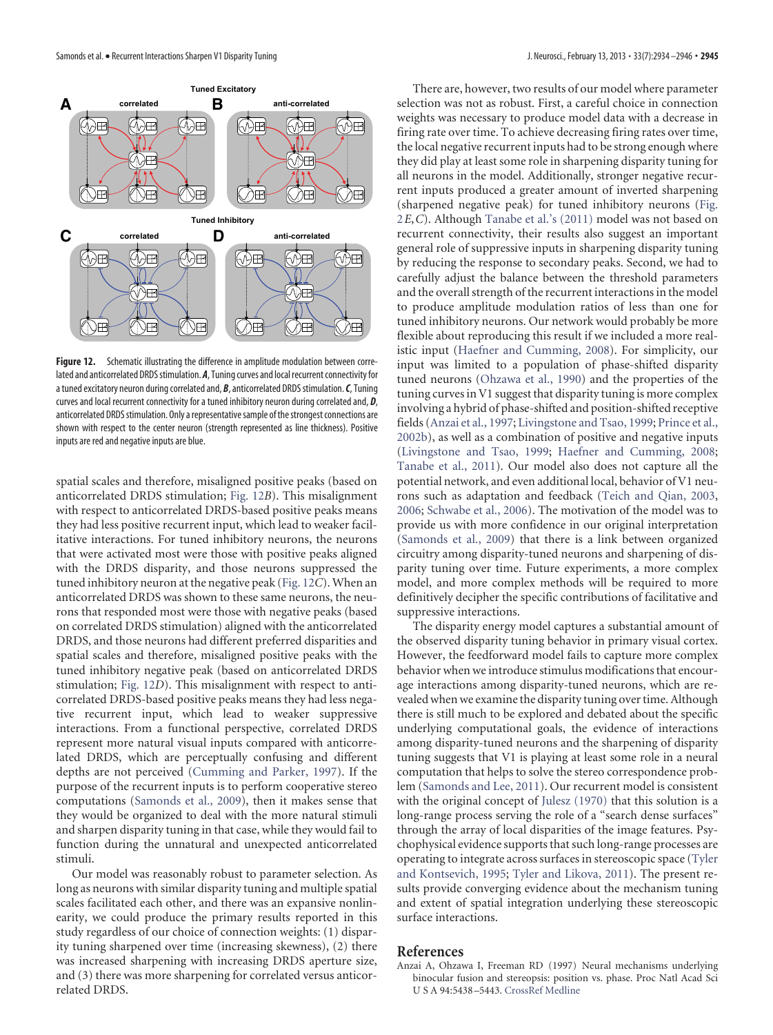<span id="page-11-0"></span>

<span id="page-11-1"></span>**Figure 12.** Schematic illustrating the difference in amplitude modulation between correlated and anticorrelated DRDS stimulation. **A**, Tuning curves and local recurrent connectivity for a tuned excitatory neuron during correlated and, **B**, anticorrelated DRDS stimulation. **C**, Tuning curves and local recurrent connectivity for a tuned inhibitory neuron during correlated and, *D*, anticorrelated DRDS stimulation. Only a representative sample of the strongest connections are shown with respect to the center neuron (strength represented as line thickness). Positive inputs are red and negative inputs are blue.

spatial scales and therefore, misaligned positive peaks (based on anticorrelated DRDS stimulation; [Fig. 12](#page-11-1)*B*). This misalignment with respect to anticorrelated DRDS-based positive peaks means they had less positive recurrent input, which lead to weaker facilitative interactions. For tuned inhibitory neurons, the neurons that were activated most were those with positive peaks aligned with the DRDS disparity, and those neurons suppressed the tuned inhibitory neuron at the negative peak [\(Fig. 12](#page-11-1)*C*). When an anticorrelated DRDS was shown to these same neurons, the neurons that responded most were those with negative peaks (based on correlated DRDS stimulation) aligned with the anticorrelated DRDS, and those neurons had different preferred disparities and spatial scales and therefore, misaligned positive peaks with the tuned inhibitory negative peak (based on anticorrelated DRDS stimulation; [Fig. 12](#page-11-1)*D*). This misalignment with respect to anticorrelated DRDS-based positive peaks means they had less negative recurrent input, which lead to weaker suppressive interactions. From a functional perspective, correlated DRDS represent more natural visual inputs compared with anticorrelated DRDS, which are perceptually confusing and different depths are not perceived [\(Cumming and Parker, 1997\)](#page-12-1). If the purpose of the recurrent inputs is to perform cooperative stereo computations [\(Samonds et al., 2009\)](#page-12-2), then it makes sense that they would be organized to deal with the more natural stimuli and sharpen disparity tuning in that case, while they would fail to function during the unnatural and unexpected anticorrelated stimuli.

Our model was reasonably robust to parameter selection. As long as neurons with similar disparity tuning and multiple spatial scales facilitated each other, and there was an expansive nonlinearity, we could produce the primary results reported in this study regardless of our choice of connection weights: (1) disparity tuning sharpened over time (increasing skewness), (2) there was increased sharpening with increasing DRDS aperture size, and (3) there was more sharpening for correlated versus anticorrelated DRDS.

There are, however, two results of our model where parameter selection was not as robust. First, a careful choice in connection weights was necessary to produce model data with a decrease in firing rate over time. To achieve decreasing firing rates over time, the local negative recurrent inputs had to be strong enough where they did play at least some role in sharpening disparity tuning for all neurons in the model. Additionally, stronger negative recurrent inputs produced a greater amount of inverted sharpening (sharpened negative peak) for tuned inhibitory neurons [\(Fig.](#page-3-0) [2](#page-3-0)*E*,*C*). Although [Tanabe et al.'s \(2011\)](#page-12-3) model was not based on recurrent connectivity, their results also suggest an important general role of suppressive inputs in sharpening disparity tuning by reducing the response to secondary peaks. Second, we had to carefully adjust the balance between the threshold parameters and the overall strength of the recurrent interactions in the model to produce amplitude modulation ratios of less than one for tuned inhibitory neurons. Our network would probably be more flexible about reproducing this result if we included a more realistic input [\(Haefner and Cumming, 2008\)](#page-12-22). For simplicity, our input was limited to a population of phase-shifted disparity tuned neurons [\(Ohzawa et al., 1990\)](#page-12-0) and the properties of the tuning curves in V1 suggest that disparity tuning is more complex involving a hybrid of phase-shifted and position-shifted receptive fields [\(Anzai et al., 1997;](#page-11-2) [Livingstone and Tsao, 1999;](#page-12-27) [Prince et al.,](#page-12-14) [2002b\)](#page-12-14), as well as a combination of positive and negative inputs [\(Livingstone and Tsao, 1999;](#page-12-27) [Haefner and Cumming, 2008;](#page-12-22) [Tanabe et al., 2011\)](#page-12-3). Our model also does not capture all the potential network, and even additional local, behavior of V1 neurons such as adaptation and feedback [\(Teich and Qian, 2003,](#page-12-28) [2006;](#page-12-29) [Schwabe et al., 2006\)](#page-12-30). The motivation of the model was to provide us with more confidence in our original interpretation [\(Samonds et al., 2009\)](#page-12-2) that there is a link between organized circuitry among disparity-tuned neurons and sharpening of disparity tuning over time. Future experiments, a more complex model, and more complex methods will be required to more definitively decipher the specific contributions of facilitative and suppressive interactions.

The disparity energy model captures a substantial amount of the observed disparity tuning behavior in primary visual cortex. However, the feedforward model fails to capture more complex behavior when we introduce stimulus modifications that encourage interactions among disparity-tuned neurons, which are revealed when we examine the disparity tuning over time. Although there is still much to be explored and debated about the specific underlying computational goals, the evidence of interactions among disparity-tuned neurons and the sharpening of disparity tuning suggests that V1 is playing at least some role in a neural computation that helps to solve the stereo correspondence problem [\(Samonds and Lee, 2011\)](#page-12-31). Our recurrent model is consistent with the original concept of [Julesz \(1970\)](#page-12-32) that this solution is a long-range process serving the role of a "search dense surfaces" through the array of local disparities of the image features. Psychophysical evidence supports that such long-range processes are operating to integrate across surfaces in stereoscopic space [\(Tyler](#page-12-33) [and Kontsevich, 1995;](#page-12-33) [Tyler and Likova, 2011\)](#page-12-34). The present results provide converging evidence about the mechanism tuning and extent of spatial integration underlying these stereoscopic surface interactions.

# <span id="page-11-2"></span>**References**

Anzai A, Ohzawa I, Freeman RD (1997) Neural mechanisms underlying binocular fusion and stereopsis: position vs. phase. Proc Natl Acad Sci U S A 94:5438 –5443. [CrossRef](http://dx.doi.org/10.1073/pnas.94.10.5438) [Medline](http://www.ncbi.nlm.nih.gov/pubmed/9144256)